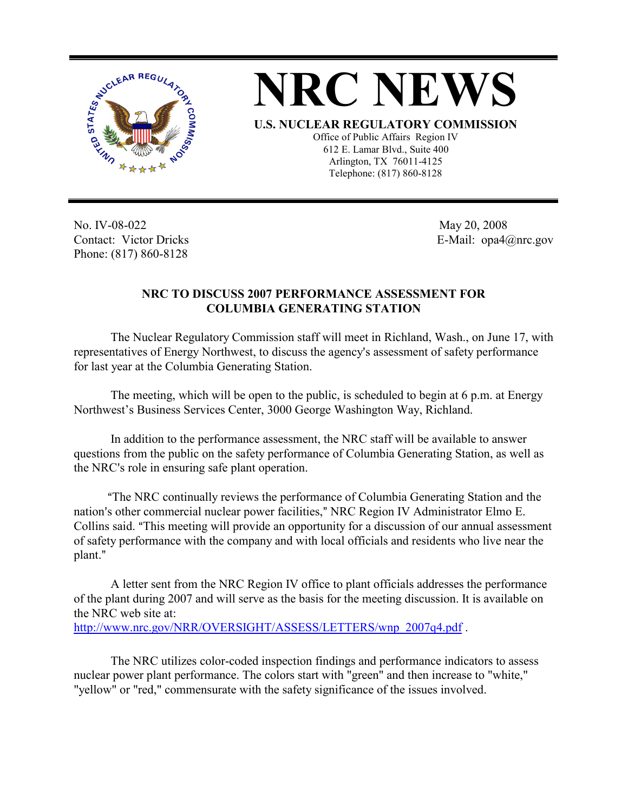



Office of Public Affairs Region IV 612 E. Lamar Blvd., Suite 400 Arlington, TX 76011-4125 Telephone: (817) 860-8128

No. IV-08-022 Contact: Victor Dricks Phone: (817) 860-8128

 May 20, 2008 E-Mail: opa4@nrc.gov

## **NRC TO DISCUSS 2007 PERFORMANCE ASSESSMENT FOR COLUMBIA GENERATING STATION**

The Nuclear Regulatory Commission staff will meet in Richland, Wash., on June 17, with representatives of Energy Northwest, to discuss the agency's assessment of safety performance for last year at the Columbia Generating Station.

The meeting, which will be open to the public, is scheduled to begin at 6 p.m. at Energy Northwest's Business Services Center, 3000 George Washington Way, Richland.

In addition to the performance assessment, the NRC staff will be available to answer questions from the public on the safety performance of Columbia Generating Station, as well as the NRC's role in ensuring safe plant operation.

 AThe NRC continually reviews the performance of Columbia Generating Station and the nation's other commercial nuclear power facilities," NRC Region IV Administrator Elmo E. Collins said. "This meeting will provide an opportunity for a discussion of our annual assessment of safety performance with the company and with local officials and residents who live near the plant."

A letter sent from the NRC Region IV office to plant officials addresses the performance of the plant during 2007 and will serve as the basis for the meeting discussion. It is available on the NRC web site at:

http://www.nrc.gov/NRR/OVERSIGHT/ASSESS/LETTERS/wnp\_2007q4.pdf .

The NRC utilizes color-coded inspection findings and performance indicators to assess nuclear power plant performance. The colors start with "green" and then increase to "white," "yellow" or "red," commensurate with the safety significance of the issues involved.